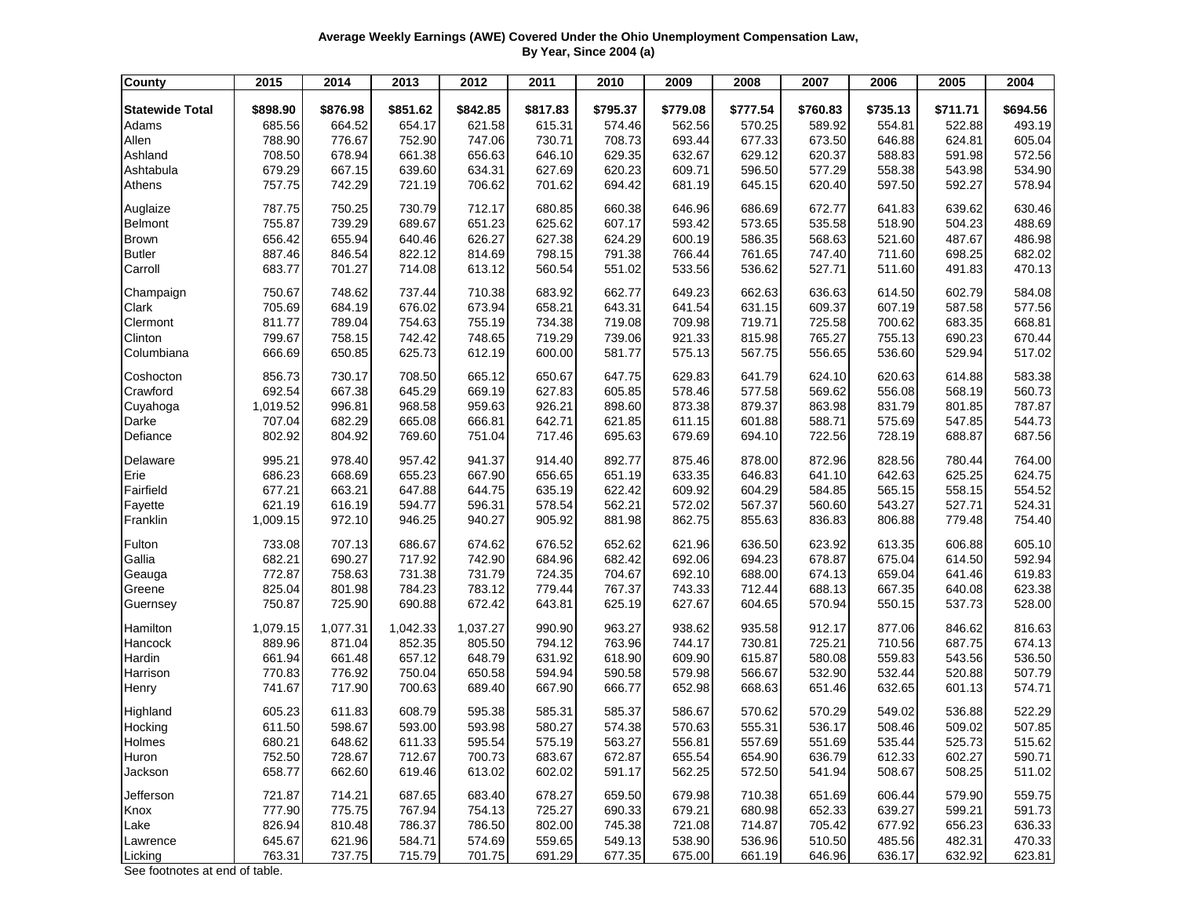## **Average Weekly Earnings (AWE) Covered Under the Ohio Unemployment Compensation Law, By Year, Since 2004 (a)**

| <b>County</b>          | 2015     | 2014     | 2013     | 2012     | 2011     | 2010     | 2009     | 2008     | 2007     | 2006     | 2005     | 2004     |
|------------------------|----------|----------|----------|----------|----------|----------|----------|----------|----------|----------|----------|----------|
| <b>Statewide Total</b> | \$898.90 | \$876.98 | \$851.62 | \$842.85 | \$817.83 | \$795.37 | \$779.08 | \$777.54 | \$760.83 | \$735.13 | \$711.71 | \$694.56 |
| Adams                  | 685.56   | 664.52   | 654.17   | 621.58   | 615.31   | 574.46   | 562.56   | 570.25   | 589.92   | 554.81   | 522.88   | 493.19   |
| Allen                  | 788.90   | 776.67   | 752.90   | 747.06   | 730.71   | 708.73   | 693.44   | 677.33   | 673.50   | 646.88   | 624.81   | 605.04   |
| Ashland                | 708.50   | 678.94   | 661.38   | 656.63   | 646.10   | 629.35   | 632.67   | 629.12   | 620.37   | 588.83   | 591.98   | 572.56   |
| Ashtabula              | 679.29   | 667.15   | 639.60   | 634.31   | 627.69   | 620.23   | 609.71   | 596.50   | 577.29   | 558.38   | 543.98   | 534.90   |
| Athens                 | 757.75   | 742.29   | 721.19   | 706.62   | 701.62   | 694.42   | 681.19   | 645.15   | 620.40   | 597.50   | 592.27   | 578.94   |
| Auglaize               | 787.75   | 750.25   | 730.79   | 712.17   | 680.85   | 660.38   | 646.96   | 686.69   | 672.77   | 641.83   | 639.62   | 630.46   |
| <b>Belmont</b>         | 755.87   | 739.29   | 689.67   | 651.23   | 625.62   | 607.17   | 593.42   | 573.65   | 535.58   | 518.90   | 504.23   | 488.69   |
| <b>Brown</b>           | 656.42   | 655.94   | 640.46   | 626.27   | 627.38   | 624.29   | 600.19   | 586.35   | 568.63   | 521.60   | 487.67   | 486.98   |
| <b>Butler</b>          | 887.46   | 846.54   | 822.12   | 814.69   | 798.15   | 791.38   | 766.44   | 761.65   | 747.40   | 711.60   | 698.25   | 682.02   |
| Carroll                | 683.77   | 701.27   | 714.08   | 613.12   | 560.54   | 551.02   | 533.56   | 536.62   | 527.71   | 511.60   | 491.83   | 470.13   |
| Champaign              | 750.67   | 748.62   | 737.44   | 710.38   | 683.92   | 662.77   | 649.23   | 662.63   | 636.63   | 614.50   | 602.79   | 584.08   |
| Clark                  | 705.69   | 684.19   | 676.02   | 673.94   | 658.21   | 643.31   | 641.54   | 631.15   | 609.37   | 607.19   | 587.58   | 577.56   |
| Clermont               | 811.77   | 789.04   | 754.63   | 755.19   | 734.38   | 719.08   | 709.98   | 719.71   | 725.58   | 700.62   | 683.35   | 668.81   |
| Clinton                | 799.67   | 758.15   | 742.42   | 748.65   | 719.29   | 739.06   | 921.33   | 815.98   | 765.27   | 755.13   | 690.23   | 670.44   |
| Columbiana             | 666.69   | 650.85   | 625.73   | 612.19   | 600.00   | 581.77   | 575.13   | 567.75   | 556.65   | 536.60   | 529.94   | 517.02   |
| Coshocton              | 856.73   | 730.17   | 708.50   | 665.12   | 650.67   | 647.75   | 629.83   | 641.79   | 624.10   | 620.63   | 614.88   | 583.38   |
| Crawford               | 692.54   | 667.38   | 645.29   | 669.19   | 627.83   | 605.85   | 578.46   | 577.58   | 569.62   | 556.08   | 568.19   | 560.73   |
| Cuyahoga               | 1,019.52 | 996.81   | 968.58   | 959.63   | 926.21   | 898.60   | 873.38   | 879.37   | 863.98   | 831.79   | 801.85   | 787.87   |
| Darke                  | 707.04   | 682.29   | 665.08   | 666.81   | 642.71   | 621.85   | 611.15   | 601.88   | 588.71   | 575.69   | 547.85   | 544.73   |
| Defiance               | 802.92   | 804.92   | 769.60   | 751.04   | 717.46   | 695.63   | 679.69   | 694.10   | 722.56   | 728.19   | 688.87   | 687.56   |
| Delaware               | 995.21   | 978.40   | 957.42   | 941.37   | 914.40   | 892.77   | 875.46   | 878.00   | 872.96   | 828.56   | 780.44   | 764.00   |
| Erie                   | 686.23   | 668.69   | 655.23   | 667.90   | 656.65   | 651.19   | 633.35   | 646.83   | 641.10   | 642.63   | 625.25   | 624.75   |
| Fairfield              | 677.21   | 663.21   | 647.88   | 644.75   | 635.19   | 622.42   | 609.92   | 604.29   | 584.85   | 565.15   | 558.15   | 554.52   |
| Fayette                | 621.19   | 616.19   | 594.77   | 596.31   | 578.54   | 562.21   | 572.02   | 567.37   | 560.60   | 543.27   | 527.71   | 524.31   |
| Franklin               | 1,009.15 | 972.10   | 946.25   | 940.27   | 905.92   | 881.98   | 862.75   | 855.63   | 836.83   | 806.88   | 779.48   | 754.40   |
| Fulton                 | 733.08   | 707.13   | 686.67   | 674.62   | 676.52   | 652.62   | 621.96   | 636.50   | 623.92   | 613.35   | 606.88   | 605.10   |
| Gallia                 | 682.21   | 690.27   | 717.92   | 742.90   | 684.96   | 682.42   | 692.06   | 694.23   | 678.87   | 675.04   | 614.50   | 592.94   |
| Geauga                 | 772.87   | 758.63   | 731.38   | 731.79   | 724.35   | 704.67   | 692.10   | 688.00   | 674.13   | 659.04   | 641.46   | 619.83   |
| Greene                 | 825.04   | 801.98   | 784.23   | 783.12   | 779.44   | 767.37   | 743.33   | 712.44   | 688.13   | 667.35   | 640.08   | 623.38   |
| Guernsey               | 750.87   | 725.90   | 690.88   | 672.42   | 643.81   | 625.19   | 627.67   | 604.65   | 570.94   | 550.15   | 537.73   | 528.00   |
| Hamilton               | 1,079.15 | 1,077.31 | 1,042.33 | 1,037.27 | 990.90   | 963.27   | 938.62   | 935.58   | 912.17   | 877.06   | 846.62   | 816.63   |
| Hancock                | 889.96   | 871.04   | 852.35   | 805.50   | 794.12   | 763.96   | 744.17   | 730.81   | 725.21   | 710.56   | 687.75   | 674.13   |
| Hardin                 | 661.94   | 661.48   | 657.12   | 648.79   | 631.92   | 618.90   | 609.90   | 615.87   | 580.08   | 559.83   | 543.56   | 536.50   |
| Harrison               | 770.83   | 776.92   | 750.04   | 650.58   | 594.94   | 590.58   | 579.98   | 566.67   | 532.90   | 532.44   | 520.88   | 507.79   |
| Henry                  | 741.67   | 717.90   | 700.63   | 689.40   | 667.90   | 666.77   | 652.98   | 668.63   | 651.46   | 632.65   | 601.13   | 574.71   |
| Highland               | 605.23   | 611.83   | 608.79   | 595.38   | 585.31   | 585.37   | 586.67   | 570.62   | 570.29   | 549.02   | 536.88   | 522.29   |
| Hocking                | 611.50   | 598.67   | 593.00   | 593.98   | 580.27   | 574.38   | 570.63   | 555.31   | 536.17   | 508.46   | 509.02   | 507.85   |
| Holmes                 | 680.21   | 648.62   | 611.33   | 595.54   | 575.19   | 563.27   | 556.81   | 557.69   | 551.69   | 535.44   | 525.73   | 515.62   |
| Huron                  | 752.50   | 728.67   | 712.67   | 700.73   | 683.67   | 672.87   | 655.54   | 654.90   | 636.79   | 612.33   | 602.27   | 590.71   |
| Jackson                | 658.77   | 662.60   | 619.46   | 613.02   | 602.02   | 591.17   | 562.25   | 572.50   | 541.94   | 508.67   | 508.25   | 511.02   |
| Jefferson              | 721.87   | 714.21   | 687.65   | 683.40   | 678.27   | 659.50   | 679.98   | 710.38   | 651.69   | 606.44   | 579.90   | 559.75   |
| Knox                   | 777.90   | 775.75   | 767.94   | 754.13   | 725.27   | 690.33   | 679.21   | 680.98   | 652.33   | 639.27   | 599.21   | 591.73   |
| Lake                   | 826.94   | 810.48   | 786.37   | 786.50   | 802.00   | 745.38   | 721.08   | 714.87   | 705.42   | 677.92   | 656.23   | 636.33   |
| Lawrence               | 645.67   | 621.96   | 584.71   | 574.69   | 559.65   | 549.13   | 538.90   | 536.96   | 510.50   | 485.56   | 482.31   | 470.33   |
| Licking                | 763.31   | 737.75   | 715.79   | 701.75   | 691.29   | 677.35   | 675.00   | 661.19   | 646.96   | 636.17   | 632.92   | 623.81   |

See footnotes at end of table.